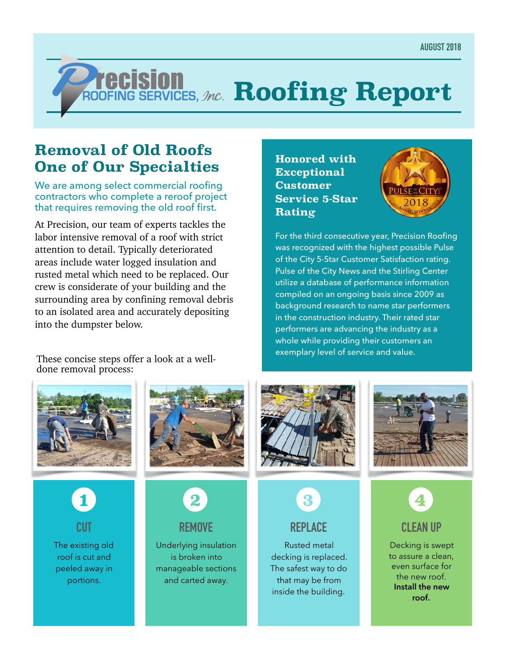# *ROOFING SERVICES, Jnc.* Roofing Report

## **Removal of Old Roofs One of Our Specialties**

We are among select commercial roofing contractors who complete a reroof project that requires removing the old roof first.

At Precision, our team of experts tackles the labor intensive removal of a roof with strict attention to detail. Typically deteriorated areas include water logged insulation and rusted metal which need to be replaced. Our crew is considerate of your building and the surrounding area by confining removal debris to an isolated area and accurately depositing into the dumpster below.

These concise steps offer a look at a welldone removal process:





For the third consecutive year, Precision Roofing was recognized with the highest possible Pulse of the City 5-Star Customer Satisfaction rating. Pulse of the City News and the Stirling Center utilize a database of performance information compiled on an ongoing basis since 2009 as background research to name star performers in the construction industry. Their rated star performers are advancing the industry as a whole while providing their customers an exemplary level of service and value.





#### **REPLACE**

Rusted metal decking is replaced. The safest way to do that may be from inside the building.





to assure a clean, even surface for the new roof. **Install the new roof.**





The existing old roof is cut and peeled away in

portions.

**CUT** 





**REMOVE** 

Underlying insulation is broken into manageable sections and carted away.